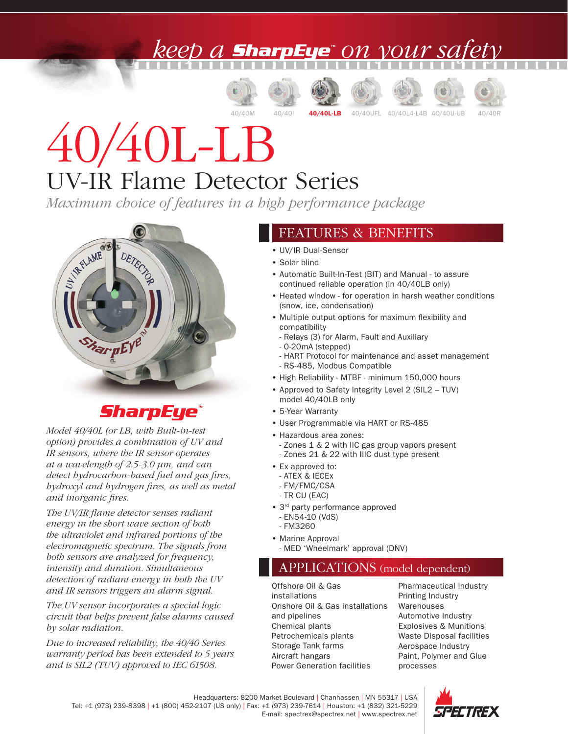### o a **SharpEye**" on your sa











# 40/40L-LB UV-IR Flame Detector Series

*Maximum choice of features in a high performance package*



### **SharpEye®**

*Model 40/40L (or LB, with Built-in-test option) provides a combination of UV and IR sensors, where the IR sensor operates at a wavelength of 2.5-3.0 µm, and can detect hydrocarbon-based fuel and gas fires, hydroxyl and hydrogen fires, as well as metal and inorganic fires.*

*The UV/IR flame detector senses radiant energy in the short wave section of both the ultraviolet and infrared portions of the electromagnetic spectrum. The signals from both sensors are analyzed for frequency, intensity and duration. Simultaneous detection of radiant energy in both the UV and IR sensors triggers an alarm signal.*

*The UV sensor incorporates a special logic circuit that helps prevent false alarms caused by solar radiation.* 

*Due to increased reliability, the 40/40 Series warranty period has been extended to 5 years and is SIL2 (TUV) approved to IEC 61508.*

#### FEATURES & BENEFITS

- UV/IR Dual-Sensor
- Solar blind
- Automatic Built-In-Test (BIT) and Manual to assure continued reliable operation (in 40/40LB only)
- Heated window for operation in harsh weather conditions (snow, ice, condensation)
- Multiple output options for maximum flexibility and compatibility
	- Relays (3) for Alarm, Fault and Auxiliary
	- 0-20mA (stepped)
	- HART Protocol for maintenance and asset management
- RS-485, Modbus Compatible
- High Reliability MTBF minimum 150,000 hours
- Approved to Safety Integrity Level 2 (SIL2 TUV) model 40/40LB only
- 5-Year Warranty
- User Programmable via HART or RS-485
- Hazardous area zones:
- Zones 1 & 2 with IIC gas group vapors present
- Zones 21 & 22 with IIIC dust type present
- Ex approved to:
- ATEX & IECEx
- FM/FMC/CSA
- TR CU (EAC)
- 3<sup>rd</sup> party performance approved - EN54-10 (VdS)
- FM3260
- Marine Approval
	- MED 'Wheelmark' approval (DNV)

#### APPLICATIONS (model dependent)

Offshore Oil & Gas installations Onshore Oil & Gas installations and pipelines Chemical plants Petrochemicals plants Storage Tank farms Aircraft hangars Power Generation facilities

Pharmaceutical Industry Printing Industry Warehouses Automotive Industry Explosives & Munitions Waste Disposal facilities Aerospace Industry Paint, Polymer and Glue processes